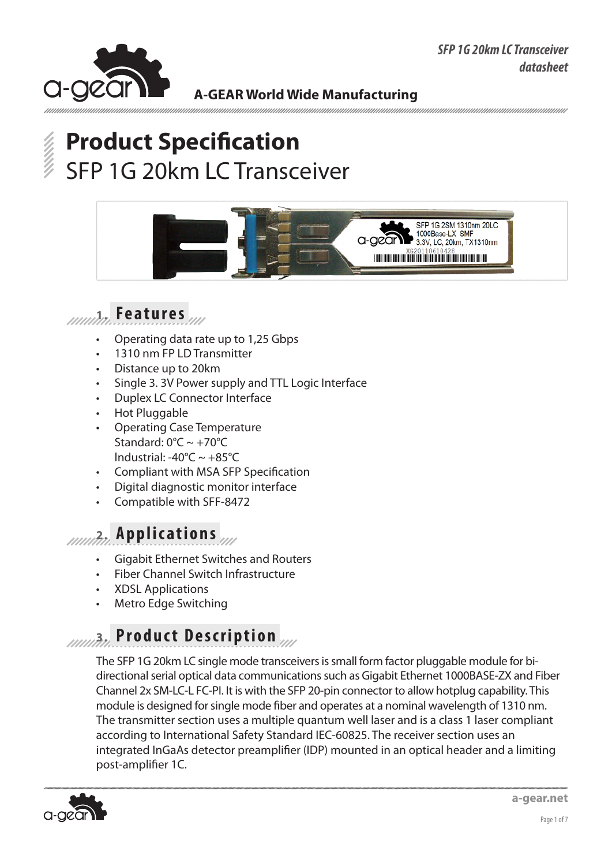

# **Product Specification** SFP 1G 20km LC Transceiver



## **1. Features**

- Operating data rate up to 1,25 Gbps
- 1310 nm FP LD Transmitter
- Distance up to 20km
- Single 3. 3V Power supply and TTL Logic Interface
- **Duplex LC Connector Interface**
- **Hot Pluggable**
- **Operating Case Temperature** Standard:  $0^{\circ}$ C ~ +70 $^{\circ}$ C lndustrial: -40°C ~ +85°C
- Compliant with MSA SFP Specification
- Digital diagnostic monitor interface
- Compatible with SFF-8472

### **2. Applications**

- **Gigabit Ethernet Switches and Routers**
- **Fiber Channel Switch Infrastructure**
- **XDSL Applications**
- Metro Edge Switching

## **3. Product Description**

The SFP 1G 20km LC single mode transceivers is small form factor pluggable module for bidirectional serial optical data communications such as Gigabit Ethernet 1000BASE-ZX and Fiber Channel 2x SM-LC-L FC-PI. It is with the SFP 20-pin connector to allow hotplug capability. This module is designed for single mode fiber and operates at a nominal wavelength of 1310 nm. The transmitter section uses a multiple quantum well laser and is a class 1 laser compliant according to International Safety Standard IEC-60825. The receiver section uses an integrated InGaAs detector preamplifier (IDP) mounted in an optical header and a limiting post-amplifier 1С.

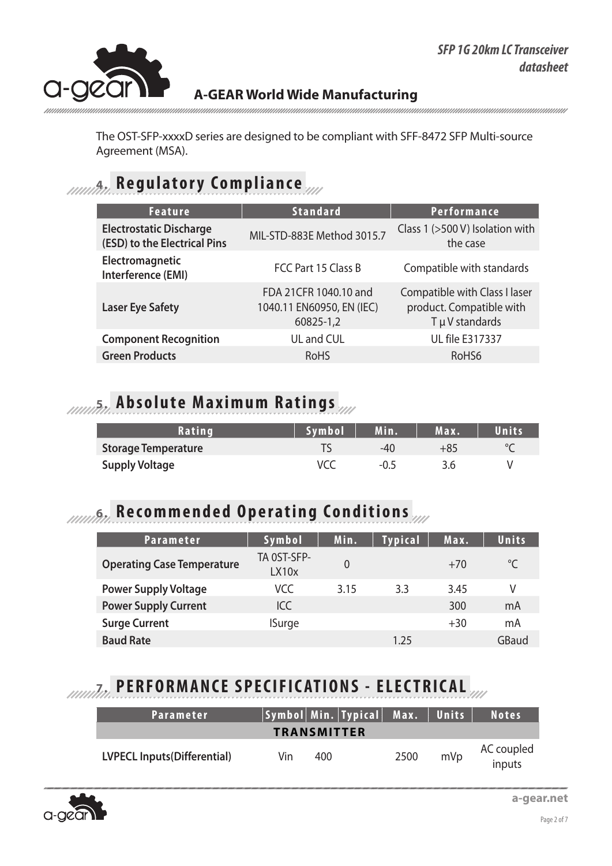

The OST-SFP-xxxxD series are designed to be compliant with SFF-8472 SFP Multi-source Agreement (MSA).

## **4. Regulatory Compliance**

| <b>Feature</b>                                                 | <b>Standard</b>                                                 | <b>Performance</b>                                                           |
|----------------------------------------------------------------|-----------------------------------------------------------------|------------------------------------------------------------------------------|
| <b>Electrostatic Discharge</b><br>(ESD) to the Electrical Pins | MIL-STD-883E Method 3015.7                                      | Class 1 (>500 V) Isolation with<br>the case                                  |
| Electromagnetic<br>Interference (EMI)                          | FCC Part 15 Class B                                             | Compatible with standards                                                    |
| <b>Laser Eye Safety</b>                                        | FDA 21CFR 1040.10 and<br>1040.11 EN60950, EN (IEC)<br>60825-1,2 | Compatible with Class I laser<br>product. Compatible with<br>T µ V standards |
| <b>Component Recognition</b>                                   | UL and CUL                                                      | <b>UL file E317337</b>                                                       |
| <b>Green Products</b>                                          | <b>RoHS</b>                                                     | RoHS <sub>6</sub>                                                            |

## **Absolute Maximum Ratings**

| Rating                     | Symbol | Min.   | Max. | Units |
|----------------------------|--------|--------|------|-------|
| <b>Storage Temperature</b> |        | $-4()$ | +85  |       |
| <b>Supply Voltage</b>      |        | -0.5   | 3.6  |       |

## **6. Recommended Operating Conditions**

| Parameter                         | Symbol               | Min.           | <b>Typical</b> | Max.  | <b>Units</b> |
|-----------------------------------|----------------------|----------------|----------------|-------|--------------|
| <b>Operating Case Temperature</b> | TA OST-SFP-<br>LX10x | $\overline{0}$ |                | $+70$ | °C           |
| <b>Power Supply Voltage</b>       | VCC                  | 3.15           | 3.3            | 3.45  | V            |
| <b>Power Supply Current</b>       | ICC                  |                |                | 300   | mA           |
| <b>Surge Current</b>              | <b>ISurge</b>        |                |                | $+30$ | mA           |
| <b>Baud Rate</b>                  |                      |                | 1.25           |       | GBaud        |

# **7. PERFORMANCE SPECIFICATIONS - ELECTRICAL**

| Parameter                          |     | Symbol Min. Typical  Max.   Units |      |     | <b>Notes</b>         |
|------------------------------------|-----|-----------------------------------|------|-----|----------------------|
| <b>TRANSMITTER</b>                 |     |                                   |      |     |                      |
| <b>LVPECL Inputs(Differential)</b> | Vin | 400                               | 2500 | mVp | AC coupled<br>inputs |

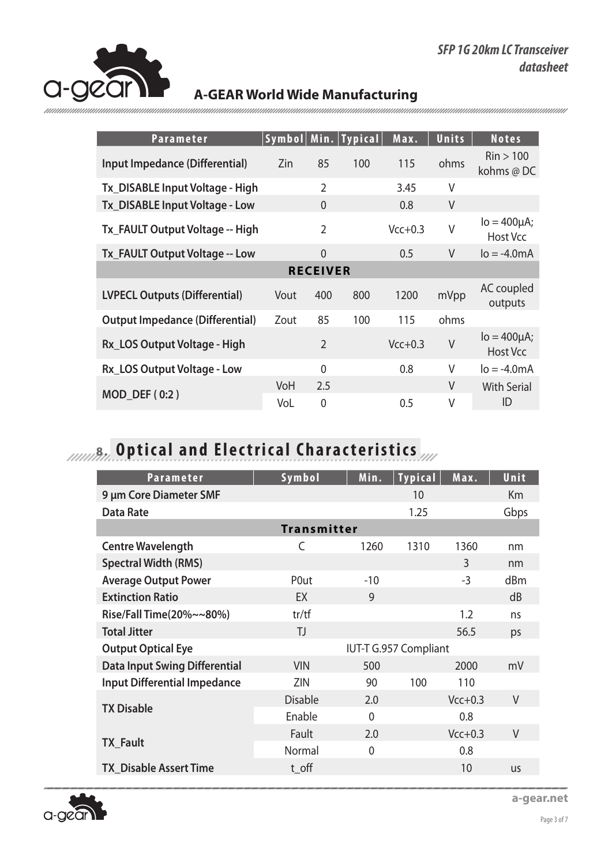

| <b>Parameter</b>                       |            |                     | Symbol   Min.   Typical | Max.      | Units  | <b>Notes</b>                           |
|----------------------------------------|------------|---------------------|-------------------------|-----------|--------|----------------------------------------|
| Input Impedance (Differential)         | Zin        | 85                  | 100                     | 115       | ohms   | $\mathrm{Rin}$ > 100<br>kohms @ DC     |
| Tx_DISABLE Input Voltage - High        |            | $\overline{2}$      |                         | 3.45      | V      |                                        |
| Tx_DISABLE Input Voltage - Low         |            | 0                   |                         | 0.8       | $\vee$ |                                        |
| Tx_FAULT Output Voltage -- High        |            | $\overline{2}$      |                         | $Vcc+0.3$ | V      | $Io = 400 \mu A$ ;<br>Host Vcc         |
| Tx_FAULT Output Voltage -- Low         |            | $\overline{0}$      |                         | 0.5       | $\vee$ | $I_0 = -4.0$ mA                        |
|                                        |            | <b>RECEIVER</b>     |                         |           |        |                                        |
| <b>LVPECL Outputs (Differential)</b>   | Vout       | 400                 | 800                     | 1200      | mVpp   | AC coupled<br>outputs                  |
| <b>Output Impedance (Differential)</b> | Zout       | 85                  | 100                     | 115       | ohms   |                                        |
| Rx_LOS Output Voltage - High           |            | $\overline{2}$      |                         | $Vcc+0.3$ | V      | $I_0 = 400 \mu A$ ;<br><b>Host Vcc</b> |
| Rx_LOS Output Voltage - Low            |            | 0                   |                         | 0.8       | V      | $lo = -4.0mA$                          |
| MOD_DEF (0:2)                          | VoH<br>VoL | 2.5<br>$\mathbf{0}$ |                         | 0.5       | V<br>V | <b>With Serial</b><br>ID               |

# **8. Optical and Electrical Characteristics**

| <b>Parameter</b>                     | Symbol             | Min.         | <b>Typical</b>        | Max.      | Unit      |  |
|--------------------------------------|--------------------|--------------|-----------------------|-----------|-----------|--|
| 9 µm Core Diameter SMF               |                    |              | 10                    |           | <b>Km</b> |  |
| <b>Data Rate</b>                     |                    |              | 1.25                  |           | Gbps      |  |
|                                      | <b>Transmitter</b> |              |                       |           |           |  |
| <b>Centre Wavelength</b>             | C                  | 1260         | 1310                  | 1360      | nm        |  |
| <b>Spectral Width (RMS)</b>          |                    |              |                       | 3         | nm        |  |
| <b>Average Output Power</b>          | P0ut               | $-10$        |                       | $-3$      | dBm       |  |
| <b>Extinction Ratio</b>              | EX                 | 9            |                       |           | dB        |  |
| Rise/Fall Time(20%~~80%)             | tr/tf              |              |                       | 1.2       | ns        |  |
| <b>Total Jitter</b>                  | TJ                 |              |                       | 56.5      | ps        |  |
| <b>Output Optical Eye</b>            |                    |              | IUT-T G.957 Compliant |           |           |  |
| <b>Data Input Swing Differential</b> | <b>VIN</b>         | 500          |                       | 2000      | mV        |  |
| <b>Input Differential Impedance</b>  | ZIN                | 90           | 100                   | 110       |           |  |
| <b>TX Disable</b>                    | <b>Disable</b>     | 2.0          |                       | $Vcc+0.3$ | V         |  |
|                                      | Enable             | $\Omega$     |                       | 0.8       |           |  |
|                                      | Fault              | 2.0          |                       | $Vcc+0.3$ | V         |  |
| <b>TX Fault</b>                      | Normal             | $\mathbf{0}$ |                       | 0.8       |           |  |
| <b>TX Disable Assert Time</b>        | t off              |              |                       | 10        | <b>US</b> |  |



**a-gear.net**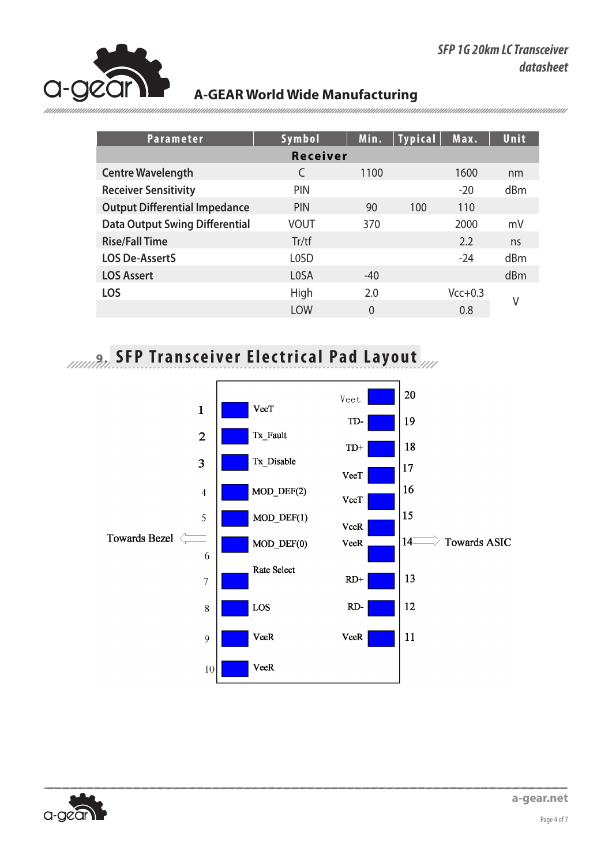

| <b>Parameter</b>                      | Symbol          | Min.  | <b>Typical</b> | Max.      | Unit |
|---------------------------------------|-----------------|-------|----------------|-----------|------|
|                                       | <b>Receiver</b> |       |                |           |      |
| <b>Centre Wavelength</b>              | C               | 1100  |                | 1600      | nm   |
| <b>Receiver Sensitivity</b>           | <b>PIN</b>      |       |                | $-20$     | dBm  |
| <b>Output Differential Impedance</b>  | <b>PIN</b>      | 90    | 100            | 110       |      |
| <b>Data Output Swing Differential</b> | <b>VOUT</b>     | 370   |                | 2000      | mV   |
| <b>Rise/Fall Time</b>                 | Tr/tf           |       |                | 2.2       | ns   |
| <b>LOS De-AssertS</b>                 | <b>LOSD</b>     |       |                | $-24$     | dBm  |
| <b>LOS Assert</b>                     | <b>LOSA</b>     | $-40$ |                |           | dBm  |
| <b>LOS</b>                            | High            | 2.0   |                | $Vcc+0.3$ |      |
|                                       | <b>LOW</b>      | 0     |                | 0.8       | V    |

# **9. SFP Transceiver Electrical Pad Layout**



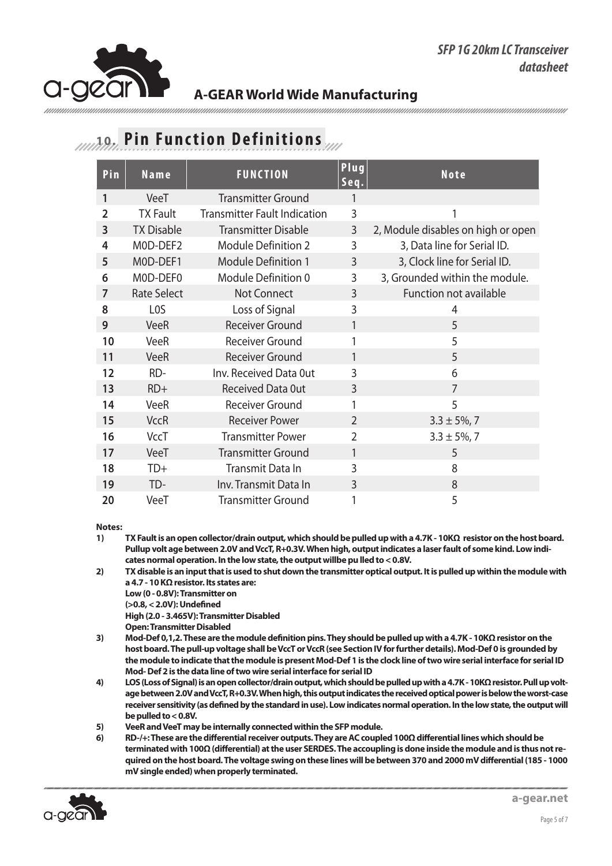

### **10. Pin Function Definitions**

| Pin            | $N$ ame            | <b>FUNCTION</b>                     | Plug<br>Seq.   | <b>Note</b>                        |
|----------------|--------------------|-------------------------------------|----------------|------------------------------------|
| 1              | VeeT               | <b>Transmitter Ground</b>           | 1              |                                    |
| $\overline{2}$ | <b>TX Fault</b>    | <b>Transmitter Fault Indication</b> | 3              | 1                                  |
| 3              | <b>TX Disable</b>  | <b>Transmitter Disable</b>          | 3              | 2, Module disables on high or open |
| 4              | MOD-DEF2           | <b>Module Definition 2</b>          | 3              | 3, Data line for Serial ID.        |
| 5              | MOD-DEF1           | <b>Module Definition 1</b>          | 3              | 3, Clock line for Serial ID.       |
| 6              | MOD-DEF0           | Module Definition 0                 | 3              | 3, Grounded within the module.     |
| 7              | <b>Rate Select</b> | Not Connect                         | 3              | Function not available             |
| 8              | L <sub>0</sub> S   | Loss of Signal                      | 3              | 4                                  |
| 9              | <b>VeeR</b>        | <b>Receiver Ground</b>              | 1              | 5                                  |
| 10             | VeeR               | <b>Receiver Ground</b>              | 1              | 5                                  |
| 11             | <b>VeeR</b>        | <b>Receiver Ground</b>              | 1              | 5                                  |
| 12             | RD-                | Inv. Received Data Out              | 3              | 6                                  |
| 13             | $RD+$              | <b>Received Data Out</b>            | 3              | 7                                  |
| 14             | <b>VeeR</b>        | <b>Receiver Ground</b>              | 1              | 5                                  |
| 15             | <b>VccR</b>        | <b>Receiver Power</b>               | $\overline{2}$ | $3.3 \pm 5\%$ , 7                  |
| 16             | <b>VccT</b>        | <b>Transmitter Power</b>            | 2              | $3.3 \pm 5\%$ , 7                  |
| 17             | VeeT               | <b>Transmitter Ground</b>           | 1              | 5                                  |
| 18             | $TD+$              | Transmit Data In                    | 3              | 8                                  |
| 19             | TD-                | Inv. Transmit Data In               | 3              | 8                                  |
| 20             | VeeT               | <b>Transmitter Ground</b>           | 1              | 5                                  |

**Notes:** 

- **1) TX Fault is an open collector/drain output, which should be pulled up with a 4.7K 10KΩ resistor on the host board. Pullup volt age between 2.0V and VccT, R+0.3V. When high, output indicates a laser fault of some kind. Low indicates normal operation. In the low state, the output willbe pu lled to < 0.8V.**
- **2) TX disable is an input that is used to shut down the transmitter optical output. It is pulled up within the module with a 4.7 - 10 KΩ resistor. Its states are:** 
	- **Low (0 0.8V): Transmitter on**
	- **(>0.8, < 2.0V): Undefined**
	- **High (2.0 3.465V): Transmitter Disabled**
	- **Open: Transmitter Disabled**
- **3) Mod-Def 0,1,2. These are the module definition pins. They should be pulled up with a 4.7K 10KΩ resistor on the host board. The pull-up voltage shall be VccT or VccR (see Section IV for further details). Mod-Def 0 is grounded by the module to indicate that the module is present Mod-Def 1 is the clock line of two wire serial interface for serial ID Mod- Def 2 is the data line of two wire serial interface for serial ID**
- **4) LOS (Loss of Signal) is an open collector/drain output, which should be pulled up with a 4.7K 10KΩ resistor. Pull up voltage between 2.0V and VccT, R+0.3V. When high, this output indicates the received optical power is below the worst-case receiver sensitivity (as defined by the standard in use). Low indicates normal operation. In the low state, the output will be pulled to < 0.8V.**
- **5) VeeR and VeeT may be internally connected within the SFP module.**
- **6) RD-/+: These are the differential receiver outputs. They are AC coupled 100Ω differential lines which should be terminated with 100Ω (differential) at the user SERDES. The accoupling is done inside the module and is thus not required on the host board. The voltage swing on these lines will be between 370 and 2000 mV differential (185 - 1000 mV single ended) when properly terminated.**

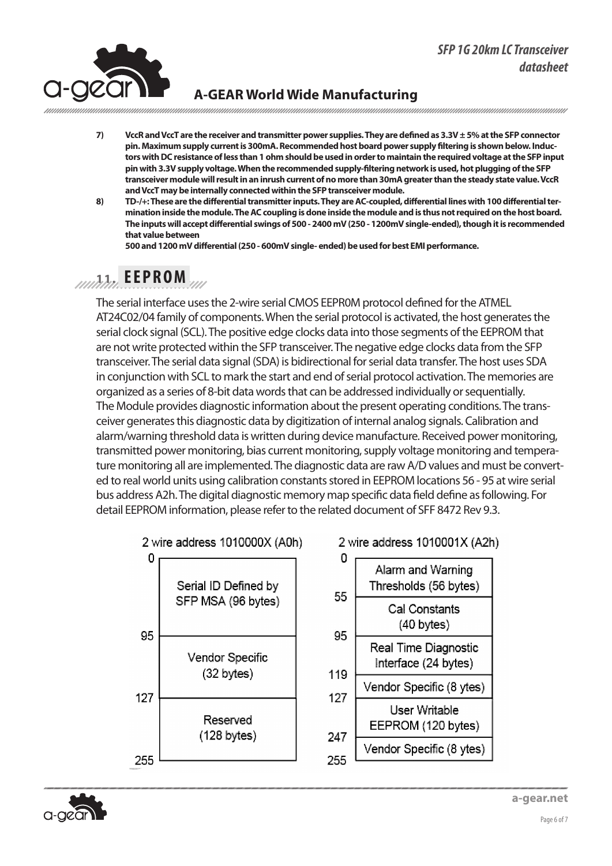#### *SFP 1G 20km LC Transceiver datasheet*



### **A-GEAR World Wide Manufacturing**

**7) VccR and VccT are the receiver and transmitter power supplies. They are defined as 3.3V ± 5% at the SFP connector pin. Maximum supply current is 300mA. Recommended host board power supply filtering is shown below. Inductors with DC resistance of less than 1 ohm should be used in order to maintain the required voltage at the SFP input pin with 3.3V supply voltage. When the recommended supply-filtering network is used, hot plugging of the SFP transceiver module will result in an inrush current of no more than 30mA greater than the steady state value. VccR and VccT may be internally connected within the SFP transceiver module.**

**8) TD-/+: These are the differential transmitter inputs. They are AC-coupled, differential lines with 100 differential termination inside the module. The AC coupling is done inside the module and is thus not required on the host board. The inputs will accept differential swings of 500 - 2400 mV (250 - 1200mV single-ended), though it is recommended that value between** 

**500 and 1200 mV differential (250 - 600mV single- ended) be used for best EMI performance.**

## **11. EEPROM**

The serial interface uses the 2-wire serial CMOS EEPR0M protocol defined for the ATMEL AT24C02/04 family of components. When the serial protocol is activated, the host generates the serial clock signal (SCL). The positive edge clocks data into those segments of the EEPROM that are not write protected within the SFP transceiver. The negative edge clocks data from the SFP transceiver. The serial data signal (SDA) is bidirectional for serial data transfer. The host uses SDA in conjunction with SCL to mark the start and end of serial protocol activation. The memories are organized as a series of 8-bit data words that can be addressed individually or sequentially. The Module provides diagnostic information about the present operating conditions. The transceiver generates this diagnostic data by digitization of internal analog signals. Calibration and alarm/warning threshold data is written during device manufacture. Received power monitoring, transmitted power monitoring, bias current monitoring, supply voltage monitoring and temperature monitoring all are implemented. The diagnostic data are raw A/D values and must be converted to real world units using calibration constants stored in EEPROM locations 56 - 95 at wire serial bus address A2h. The digital diagnostic memory map specific data field define as following. For detail EEPROM information, please refer to the related document of SFF 8472 Rev 9.3.